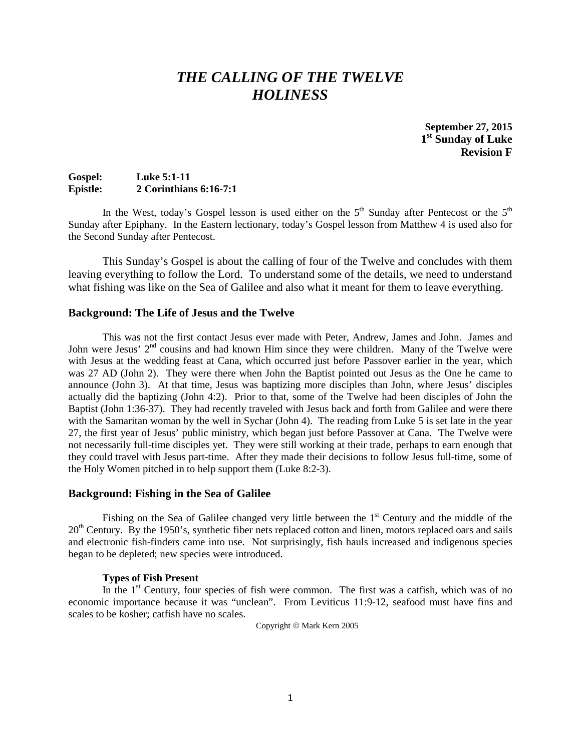# *THE CALLING OF THE TWELVE HOLINESS*

**September 27, 2015 1st Sunday of Luke Revision F**

# **Gospel: Luke 5:1-11 Epistle: 2 Corinthians 6:16-7:1**

In the West, today's Gospel lesson is used either on the  $5<sup>th</sup>$  Sunday after Pentecost or the  $5<sup>th</sup>$ Sunday after Epiphany. In the Eastern lectionary, today's Gospel lesson from Matthew 4 is used also for the Second Sunday after Pentecost.

This Sunday's Gospel is about the calling of four of the Twelve and concludes with them leaving everything to follow the Lord. To understand some of the details, we need to understand what fishing was like on the Sea of Galilee and also what it meant for them to leave everything.

# **Background: The Life of Jesus and the Twelve**

This was not the first contact Jesus ever made with Peter, Andrew, James and John. James and John were Jesus'  $2<sup>nd</sup>$  cousins and had known Him since they were children. Many of the Twelve were with Jesus at the wedding feast at Cana, which occurred just before Passover earlier in the year, which was 27 AD (John 2). They were there when John the Baptist pointed out Jesus as the One he came to announce (John 3). At that time, Jesus was baptizing more disciples than John, where Jesus' disciples actually did the baptizing (John 4:2). Prior to that, some of the Twelve had been disciples of John the Baptist (John 1:36-37). They had recently traveled with Jesus back and forth from Galilee and were there with the Samaritan woman by the well in Sychar (John 4). The reading from Luke 5 is set late in the year 27, the first year of Jesus' public ministry, which began just before Passover at Cana. The Twelve were not necessarily full-time disciples yet. They were still working at their trade, perhaps to earn enough that they could travel with Jesus part-time. After they made their decisions to follow Jesus full-time, some of the Holy Women pitched in to help support them (Luke 8:2-3).

### **Background: Fishing in the Sea of Galilee**

Fishing on the Sea of Galilee changed very little between the  $1<sup>st</sup>$  Century and the middle of the  $20<sup>th</sup>$  Century. By the 1950's, synthetic fiber nets replaced cotton and linen, motors replaced oars and sails and electronic fish-finders came into use. Not surprisingly, fish hauls increased and indigenous species began to be depleted; new species were introduced.

### **Types of Fish Present**

In the  $1<sup>st</sup>$  Century, four species of fish were common. The first was a catfish, which was of no economic importance because it was "unclean". From Leviticus 11:9-12, seafood must have fins and scales to be kosher; catfish have no scales.

Copyright © Mark Kern 2005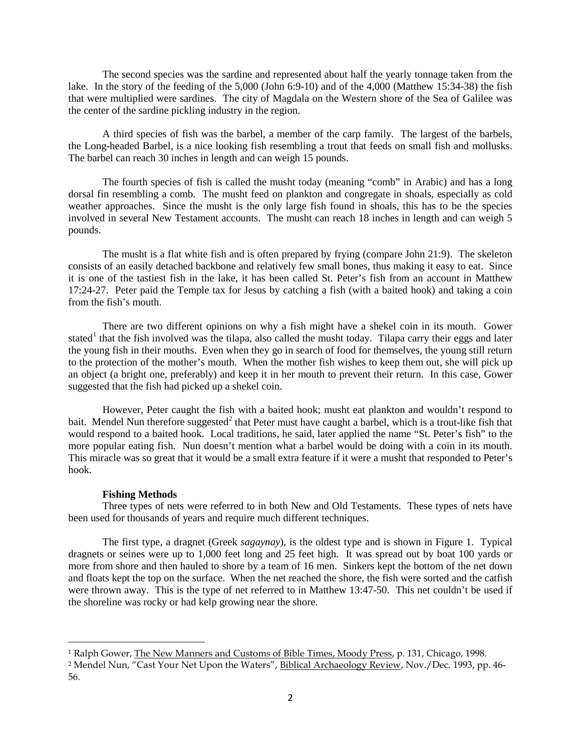The second species was the sardine and represented about half the yearly tonnage taken from the lake. In the story of the feeding of the 5,000 (John 6:9-10) and of the 4,000 (Matthew 15:34-38) the fish that were multiplied were sardines. The city of Magdala on the Western shore of the Sea of Galilee was the center of the sardine pickling industry in the region.

A third species of fish was the barbel, a member of the carp family. The largest of the barbels, the Long-headed Barbel, is a nice looking fish resembling a trout that feeds on small fish and mollusks. The barbel can reach 30 inches in length and can weigh 15 pounds.

The fourth species of fish is called the musht today (meaning "comb" in Arabic) and has a long dorsal fin resembling a comb. The musht feed on plankton and congregate in shoals, especially as cold weather approaches. Since the musht is the only large fish found in shoals, this has to be the species involved in several New Testament accounts. The musht can reach 18 inches in length and can weigh 5 pounds.

The musht is a flat white fish and is often prepared by frying (compare John 21:9). The skeleton consists of an easily detached backbone and relatively few small bones, thus making it easy to eat. Since it is one of the tastiest fish in the lake, it has been called St. Peter's fish from an account in Matthew 17:24-27. Peter paid the Temple tax for Jesus by catching a fish (with a baited hook) and taking a coin from the fish's mouth.

There are two different opinions on why a fish might have a shekel coin in its mouth. Gower stated<sup>[1](#page-1-0)</sup> that the fish involved was the tilapa, also called the musht today. Tilapa carry their eggs and later the young fish in their mouths. Even when they go in search of food for themselves, the young still return to the protection of the mother's mouth. When the mother fish wishes to keep them out, she will pick up an object (a bright one, preferably) and keep it in her mouth to prevent their return. In this case, Gower suggested that the fish had picked up a shekel coin.

However, Peter caught the fish with a baited hook; musht eat plankton and wouldn't respond to bait. Mendel Nun therefore suggested<sup>[2](#page-1-1)</sup> that Peter must have caught a barbel, which is a trout-like fish that would respond to a baited hook. Local traditions, he said, later applied the name "St. Peter's fish" to the more popular eating fish. Nun doesn't mention what a barbel would be doing with a coin in its mouth. This miracle was so great that it would be a small extra feature if it were a musht that responded to Peter's hook.

#### **Fishing Methods**

l

Three types of nets were referred to in both New and Old Testaments. These types of nets have been used for thousands of years and require much different techniques.

The first type, a dragnet (Greek *sagaynay*), is the oldest type and is shown in Figure 1. Typical dragnets or seines were up to 1,000 feet long and 25 feet high. It was spread out by boat 100 yards or more from shore and then hauled to shore by a team of 16 men. Sinkers kept the bottom of the net down and floats kept the top on the surface. When the net reached the shore, the fish were sorted and the catfish were thrown away. This is the type of net referred to in Matthew 13:47-50. This net couldn't be used if the shoreline was rocky or had kelp growing near the shore.

<span id="page-1-0"></span><sup>1</sup> Ralph Gower, The New Manners and Customs of Bible Times, Moody Press, p. 131, Chicago, 1998.

<span id="page-1-1"></span><sup>&</sup>lt;sup>2</sup> Mendel Nun, "Cast Your Net Upon the Waters", Biblical Archaeology Review, Nov./Dec. 1993, pp. 46-56.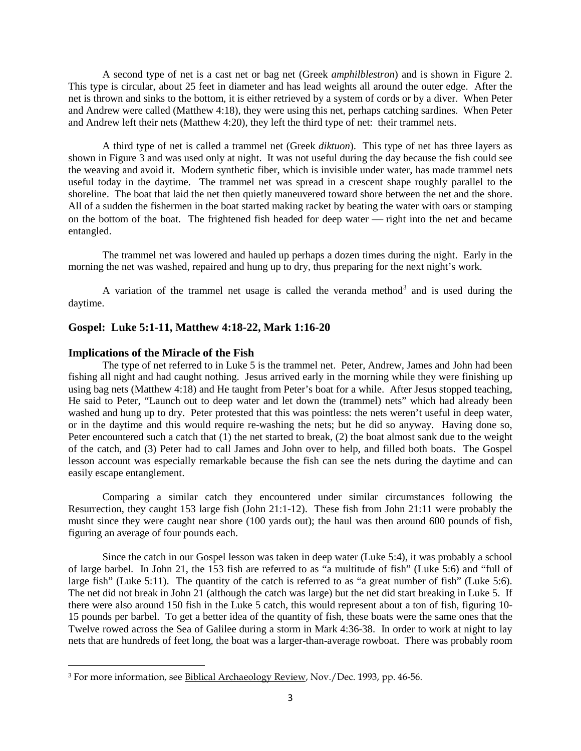A second type of net is a cast net or bag net (Greek *amphilblestron*) and is shown in Figure 2. This type is circular, about 25 feet in diameter and has lead weights all around the outer edge. After the net is thrown and sinks to the bottom, it is either retrieved by a system of cords or by a diver. When Peter and Andrew were called (Matthew 4:18), they were using this net, perhaps catching sardines. When Peter and Andrew left their nets (Matthew 4:20), they left the third type of net: their trammel nets.

A third type of net is called a trammel net (Greek *diktuon*). This type of net has three layers as shown in Figure 3 and was used only at night. It was not useful during the day because the fish could see the weaving and avoid it. Modern synthetic fiber, which is invisible under water, has made trammel nets useful today in the daytime. The trammel net was spread in a crescent shape roughly parallel to the shoreline. The boat that laid the net then quietly maneuvered toward shore between the net and the shore. All of a sudden the fishermen in the boat started making racket by beating the water with oars or stamping on the bottom of the boat. The frightened fish headed for deep water — right into the net and became entangled.

The trammel net was lowered and hauled up perhaps a dozen times during the night. Early in the morning the net was washed, repaired and hung up to dry, thus preparing for the next night's work.

A variation of the trammel net usage is called the veranda method<sup>[3](#page-2-0)</sup> and is used during the daytime.

# **Gospel: Luke 5:1-11, Matthew 4:18-22, Mark 1:16-20**

#### **Implications of the Miracle of the Fish**

 $\overline{\phantom{a}}$ 

The type of net referred to in Luke 5 is the trammel net. Peter, Andrew, James and John had been fishing all night and had caught nothing. Jesus arrived early in the morning while they were finishing up using bag nets (Matthew 4:18) and He taught from Peter's boat for a while. After Jesus stopped teaching, He said to Peter, "Launch out to deep water and let down the (trammel) nets" which had already been washed and hung up to dry. Peter protested that this was pointless: the nets weren't useful in deep water, or in the daytime and this would require re-washing the nets; but he did so anyway. Having done so, Peter encountered such a catch that (1) the net started to break, (2) the boat almost sank due to the weight of the catch, and (3) Peter had to call James and John over to help, and filled both boats. The Gospel lesson account was especially remarkable because the fish can see the nets during the daytime and can easily escape entanglement.

Comparing a similar catch they encountered under similar circumstances following the Resurrection, they caught 153 large fish (John 21:1-12). These fish from John 21:11 were probably the musht since they were caught near shore (100 yards out); the haul was then around 600 pounds of fish, figuring an average of four pounds each.

Since the catch in our Gospel lesson was taken in deep water (Luke 5:4), it was probably a school of large barbel. In John 21, the 153 fish are referred to as "a multitude of fish" (Luke 5:6) and "full of large fish" (Luke 5:11). The quantity of the catch is referred to as "a great number of fish" (Luke 5:6). The net did not break in John 21 (although the catch was large) but the net did start breaking in Luke 5. If there were also around 150 fish in the Luke 5 catch, this would represent about a ton of fish, figuring 10- 15 pounds per barbel. To get a better idea of the quantity of fish, these boats were the same ones that the Twelve rowed across the Sea of Galilee during a storm in Mark 4:36-38. In order to work at night to lay nets that are hundreds of feet long, the boat was a larger-than-average rowboat. There was probably room

<span id="page-2-0"></span><sup>3</sup> For more information, see Biblical Archaeology Review, Nov./Dec. 1993, pp. 46-56.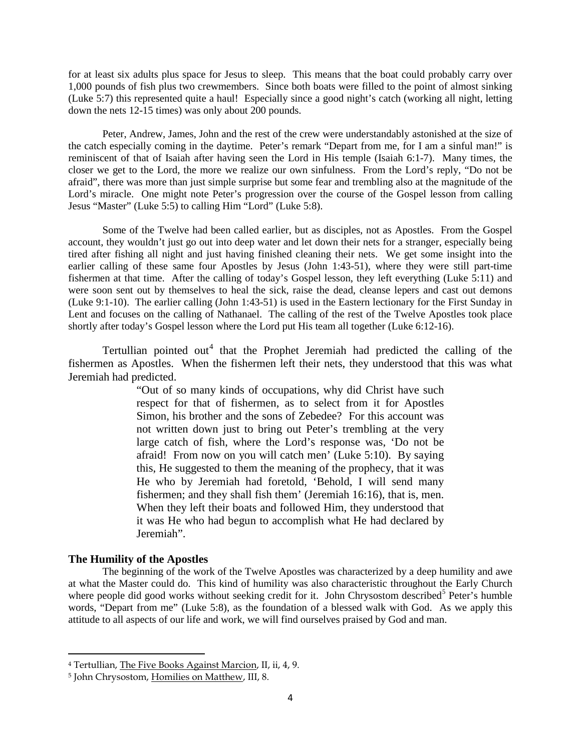for at least six adults plus space for Jesus to sleep. This means that the boat could probably carry over 1,000 pounds of fish plus two crewmembers. Since both boats were filled to the point of almost sinking (Luke 5:7) this represented quite a haul! Especially since a good night's catch (working all night, letting down the nets 12-15 times) was only about 200 pounds.

Peter, Andrew, James, John and the rest of the crew were understandably astonished at the size of the catch especially coming in the daytime. Peter's remark "Depart from me, for I am a sinful man!" is reminiscent of that of Isaiah after having seen the Lord in His temple (Isaiah 6:1-7). Many times, the closer we get to the Lord, the more we realize our own sinfulness. From the Lord's reply, "Do not be afraid", there was more than just simple surprise but some fear and trembling also at the magnitude of the Lord's miracle. One might note Peter's progression over the course of the Gospel lesson from calling Jesus "Master" (Luke 5:5) to calling Him "Lord" (Luke 5:8).

Some of the Twelve had been called earlier, but as disciples, not as Apostles. From the Gospel account, they wouldn't just go out into deep water and let down their nets for a stranger, especially being tired after fishing all night and just having finished cleaning their nets. We get some insight into the earlier calling of these same four Apostles by Jesus (John 1:43-51), where they were still part-time fishermen at that time. After the calling of today's Gospel lesson, they left everything (Luke 5:11) and were soon sent out by themselves to heal the sick, raise the dead, cleanse lepers and cast out demons (Luke 9:1-10). The earlier calling (John 1:43-51) is used in the Eastern lectionary for the First Sunday in Lent and focuses on the calling of Nathanael. The calling of the rest of the Twelve Apostles took place shortly after today's Gospel lesson where the Lord put His team all together (Luke 6:12-16).

Tertullian pointed out<sup>[4](#page-3-0)</sup> that the Prophet Jeremiah had predicted the calling of the fishermen as Apostles. When the fishermen left their nets, they understood that this was what Jeremiah had predicted.

> "Out of so many kinds of occupations, why did Christ have such respect for that of fishermen, as to select from it for Apostles Simon, his brother and the sons of Zebedee? For this account was not written down just to bring out Peter's trembling at the very large catch of fish, where the Lord's response was, 'Do not be afraid! From now on you will catch men' (Luke 5:10). By saying this, He suggested to them the meaning of the prophecy, that it was He who by Jeremiah had foretold, 'Behold, I will send many fishermen; and they shall fish them' (Jeremiah 16:16), that is, men. When they left their boats and followed Him, they understood that it was He who had begun to accomplish what He had declared by Jeremiah".

## **The Humility of the Apostles**

 $\overline{\phantom{a}}$ 

The beginning of the work of the Twelve Apostles was characterized by a deep humility and awe at what the Master could do. This kind of humility was also characteristic throughout the Early Church where people did good works without seeking credit for it. John Chrysostom described<sup>[5](#page-3-1)</sup> Peter's humble words, "Depart from me" (Luke 5:8), as the foundation of a blessed walk with God. As we apply this attitude to all aspects of our life and work, we will find ourselves praised by God and man.

<span id="page-3-0"></span><sup>4</sup> Tertullian, The Five Books Against Marcion, II, ii, 4, 9.

<span id="page-3-1"></span><sup>5</sup> John Chrysostom, Homilies on Matthew, III, 8.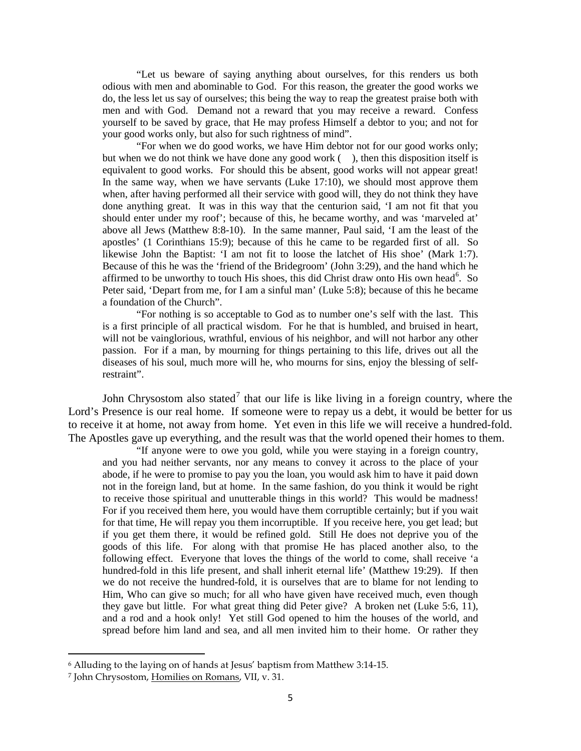"Let us beware of saying anything about ourselves, for this renders us both odious with men and abominable to God. For this reason, the greater the good works we do, the less let us say of ourselves; this being the way to reap the greatest praise both with men and with God. Demand not a reward that you may receive a reward. Confess yourself to be saved by grace, that He may profess Himself a debtor to you; and not for your good works only, but also for such rightness of mind".

"For when we do good works, we have Him debtor not for our good works only; but when we do not think we have done any good work  $($ ), then this disposition itself is equivalent to good works. For should this be absent, good works will not appear great! In the same way, when we have servants (Luke 17:10), we should most approve them when, after having performed all their service with good will, they do not think they have done anything great. It was in this way that the centurion said, 'I am not fit that you should enter under my roof'; because of this, he became worthy, and was 'marveled at' above all Jews (Matthew 8:8-10). In the same manner, Paul said, 'I am the least of the apostles' (1 Corinthians 15:9); because of this he came to be regarded first of all. So likewise John the Baptist: 'I am not fit to loose the latchet of His shoe' (Mark 1:7). Because of this he was the 'friend of the Bridegroom' (John 3:29), and the hand which he affirmed to be unworthy to touch His shoes, this did Christ draw onto His own head<sup>[6](#page-4-0)</sup>. So Peter said, 'Depart from me, for I am a sinful man' (Luke 5:8); because of this he became a foundation of the Church".

"For nothing is so acceptable to God as to number one's self with the last. This is a first principle of all practical wisdom. For he that is humbled, and bruised in heart, will not be vainglorious, wrathful, envious of his neighbor, and will not harbor any other passion. For if a man, by mourning for things pertaining to this life, drives out all the diseases of his soul, much more will he, who mourns for sins, enjoy the blessing of selfrestraint".

John Chrysostom also stated<sup>[7](#page-4-1)</sup> that our life is like living in a foreign country, where the Lord's Presence is our real home. If someone were to repay us a debt, it would be better for us to receive it at home, not away from home. Yet even in this life we will receive a hundred-fold. The Apostles gave up everything, and the result was that the world opened their homes to them.

"If anyone were to owe you gold, while you were staying in a foreign country, and you had neither servants, nor any means to convey it across to the place of your abode, if he were to promise to pay you the loan, you would ask him to have it paid down not in the foreign land, but at home. In the same fashion, do you think it would be right to receive those spiritual and unutterable things in this world? This would be madness! For if you received them here, you would have them corruptible certainly; but if you wait for that time, He will repay you them incorruptible. If you receive here, you get lead; but if you get them there, it would be refined gold. Still He does not deprive you of the goods of this life. For along with that promise He has placed another also, to the following effect. Everyone that loves the things of the world to come, shall receive 'a hundred-fold in this life present, and shall inherit eternal life' (Matthew 19:29). If then we do not receive the hundred-fold, it is ourselves that are to blame for not lending to Him, Who can give so much; for all who have given have received much, even though they gave but little. For what great thing did Peter give? A broken net (Luke 5:6, 11), and a rod and a hook only! Yet still God opened to him the houses of the world, and spread before him land and sea, and all men invited him to their home. Or rather they

 $\overline{\phantom{a}}$ 

<span id="page-4-0"></span><sup>6</sup> Alluding to the laying on of hands at Jesus' baptism from Matthew 3:14-15.

<span id="page-4-1"></span><sup>7</sup> John Chrysostom, Homilies on Romans, VII, v. 31.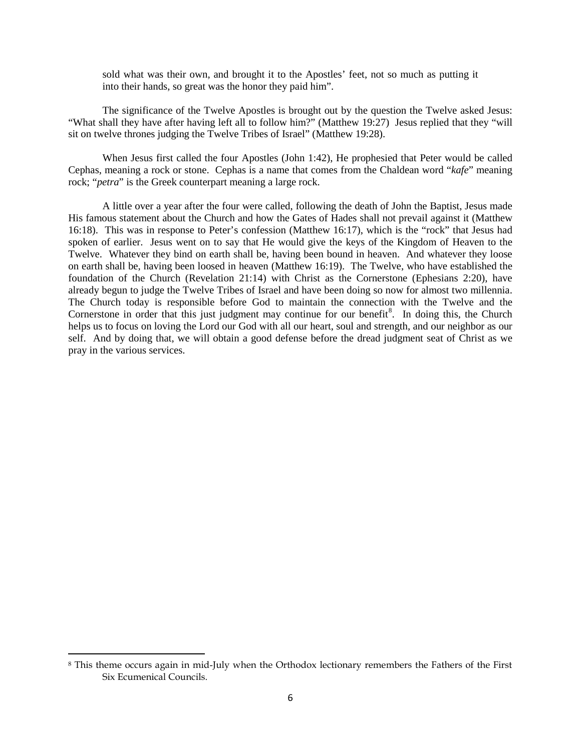sold what was their own, and brought it to the Apostles' feet, not so much as putting it into their hands, so great was the honor they paid him".

The significance of the Twelve Apostles is brought out by the question the Twelve asked Jesus: "What shall they have after having left all to follow him?" (Matthew 19:27) Jesus replied that they "will sit on twelve thrones judging the Twelve Tribes of Israel" (Matthew 19:28).

When Jesus first called the four Apostles (John 1:42), He prophesied that Peter would be called Cephas, meaning a rock or stone. Cephas is a name that comes from the Chaldean word "*kafe*" meaning rock; "*petra*" is the Greek counterpart meaning a large rock.

A little over a year after the four were called, following the death of John the Baptist, Jesus made His famous statement about the Church and how the Gates of Hades shall not prevail against it (Matthew 16:18). This was in response to Peter's confession (Matthew 16:17), which is the "rock" that Jesus had spoken of earlier. Jesus went on to say that He would give the keys of the Kingdom of Heaven to the Twelve. Whatever they bind on earth shall be, having been bound in heaven. And whatever they loose on earth shall be, having been loosed in heaven (Matthew 16:19). The Twelve, who have established the foundation of the Church (Revelation 21:14) with Christ as the Cornerstone (Ephesians 2:20), have already begun to judge the Twelve Tribes of Israel and have been doing so now for almost two millennia. The Church today is responsible before God to maintain the connection with the Twelve and the Cornerstone in order that this just judgment may continue for our benefit<sup>[8](#page-5-0)</sup>. In doing this, the Church helps us to focus on loving the Lord our God with all our heart, soul and strength, and our neighbor as our self. And by doing that, we will obtain a good defense before the dread judgment seat of Christ as we pray in the various services.

 $\overline{\phantom{a}}$ 

<span id="page-5-0"></span><sup>8</sup> This theme occurs again in mid-July when the Orthodox lectionary remembers the Fathers of the First Six Ecumenical Councils.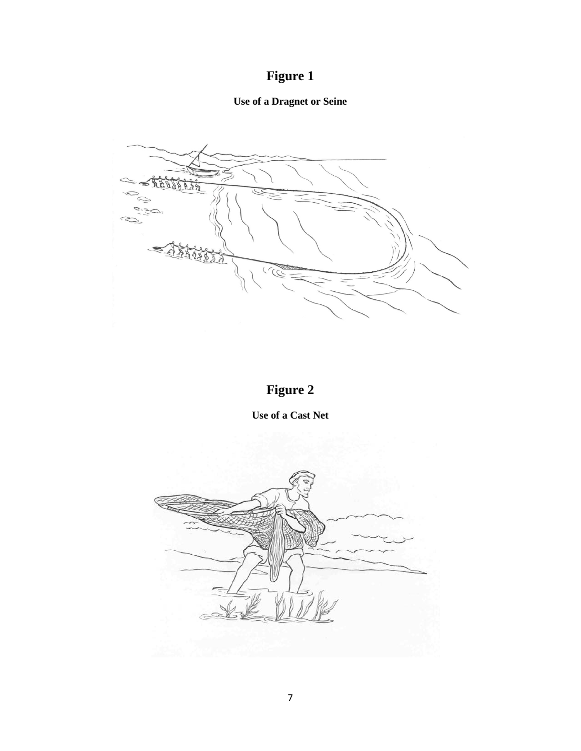# **Figure 1**

# **Use of a Dragnet or Seine**



# **Figure 2**

**Use of a Cast Net**

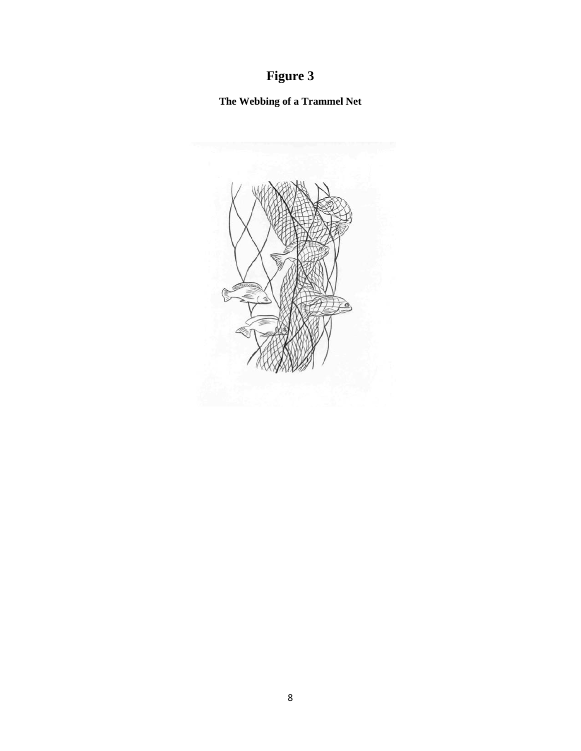# **Figure 3**

**The Webbing of a Trammel Net**

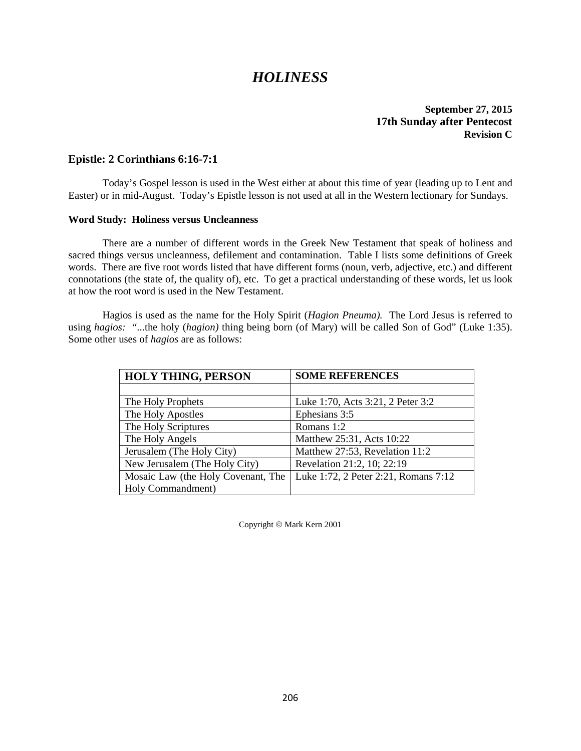# *HOLINESS*

## **September 27, 2015 17th Sunday after Pentecost Revision C**

# **Epistle: 2 Corinthians 6:16-7:1**

Today's Gospel lesson is used in the West either at about this time of year (leading up to Lent and Easter) or in mid-August. Today's Epistle lesson is not used at all in the Western lectionary for Sundays.

#### **Word Study: Holiness versus Uncleanness**

There are a number of different words in the Greek New Testament that speak of holiness and sacred things versus uncleanness, defilement and contamination. Table I lists some definitions of Greek words. There are five root words listed that have different forms (noun, verb, adjective, etc.) and different connotations (the state of, the quality of), etc. To get a practical understanding of these words, let us look at how the root word is used in the New Testament.

Hagios is used as the name for the Holy Spirit (*Hagion Pneuma).* The Lord Jesus is referred to using *hagios:* "...the holy (*hagion)* thing being born (of Mary) will be called Son of God" (Luke 1:35). Some other uses of *hagios* are as follows:

| <b>HOLY THING, PERSON</b>          | <b>SOME REFERENCES</b>               |
|------------------------------------|--------------------------------------|
|                                    |                                      |
| The Holy Prophets                  | Luke 1:70, Acts 3:21, 2 Peter 3:2    |
| The Holy Apostles                  | Ephesians 3:5                        |
| The Holy Scriptures                | Romans 1:2                           |
| The Holy Angels                    | Matthew 25:31, Acts 10:22            |
| Jerusalem (The Holy City)          | Matthew 27:53, Revelation 11:2       |
| New Jerusalem (The Holy City)      | Revelation 21:2, 10; 22:19           |
| Mosaic Law (the Holy Covenant, The | Luke 1:72, 2 Peter 2:21, Romans 7:12 |
| Holy Commandment)                  |                                      |

Copyright © Mark Kern 2001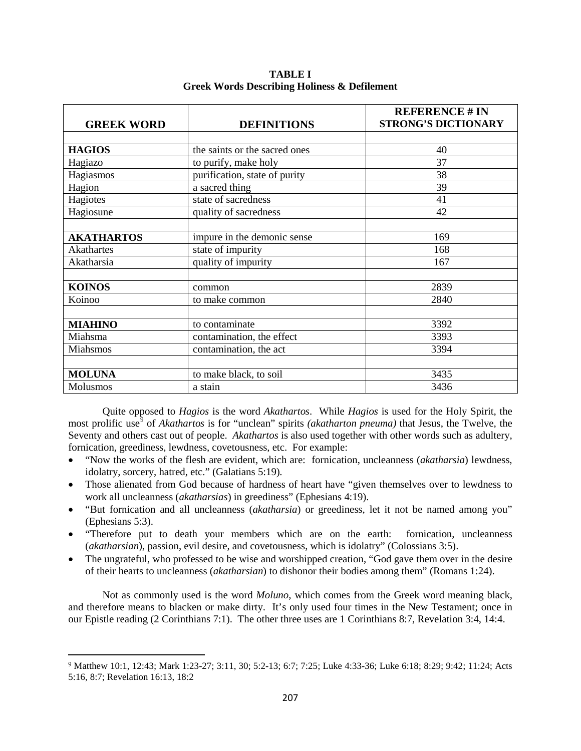| <b>GREEK WORD</b> | <b>DEFINITIONS</b>            | <b>REFERENCE # IN</b><br><b>STRONG'S DICTIONARY</b> |
|-------------------|-------------------------------|-----------------------------------------------------|
|                   |                               |                                                     |
| <b>HAGIOS</b>     | the saints or the sacred ones | 40                                                  |
| Hagiazo           | to purify, make holy          | 37                                                  |
| Hagiasmos         | purification, state of purity | 38                                                  |
| Hagion            | a sacred thing                | 39                                                  |
| Hagiotes          | state of sacredness           | 41                                                  |
| Hagiosune         | quality of sacredness         | 42                                                  |
|                   |                               |                                                     |
| <b>AKATHARTOS</b> | impure in the demonic sense   | 169                                                 |
| Akathartes        | state of impurity             | 168                                                 |
| Akatharsia        | quality of impurity           | 167                                                 |
|                   |                               |                                                     |
| <b>KOINOS</b>     | common                        | 2839                                                |
| Koinoo            | to make common                | 2840                                                |
|                   |                               |                                                     |
| <b>MIAHINO</b>    | to contaminate                | 3392                                                |
| Miahsma           | contamination, the effect     | 3393                                                |
| Miahsmos          | contamination, the act        | 3394                                                |
|                   |                               |                                                     |
| <b>MOLUNA</b>     | to make black, to soil        | 3435                                                |
| Molusmos          | a stain                       | 3436                                                |

**TABLE I Greek Words Describing Holiness & Defilement**

Quite opposed to *Hagios* is the word *Akathartos*. While *Hagios* is used for the Holy Spirit, the most prolific use<sup>[9](#page-9-0)</sup> of *Akathartos* is for "unclean" spirits *(akatharton pneuma)* that Jesus, the Twelve, the Seventy and others cast out of people. *Akathartos* is also used together with other words such as adultery, fornication, greediness, lewdness, covetousness, etc. For example:

- "Now the works of the flesh are evident, which are: fornication, uncleanness (*akatharsia*) lewdness, idolatry, sorcery, hatred, etc." (Galatians 5:19)*.*
- Those alienated from God because of hardness of heart have "given themselves over to lewdness to work all uncleanness (*akatharsias*) in greediness" (Ephesians 4:19).
- "But fornication and all uncleanness (*akatharsia*) or greediness, let it not be named among you" (Ephesians 5:3).
- "Therefore put to death your members which are on the earth: fornication, uncleanness (*akatharsian*), passion, evil desire, and covetousness, which is idolatry" (Colossians 3:5).
- The ungrateful, who professed to be wise and worshipped creation, "God gave them over in the desire of their hearts to uncleanness (*akatharsian*) to dishonor their bodies among them" (Romans 1:24).

Not as commonly used is the word *Moluno*, which comes from the Greek word meaning black, and therefore means to blacken or make dirty. It's only used four times in the New Testament; once in our Epistle reading (2 Corinthians 7:1). The other three uses are 1 Corinthians 8:7, Revelation 3:4, 14:4.

l

<span id="page-9-0"></span><sup>9</sup> Matthew 10:1, 12:43; Mark 1:23-27; 3:11, 30; 5:2-13; 6:7; 7:25; Luke 4:33-36; Luke 6:18; 8:29; 9:42; 11:24; Acts 5:16, 8:7; Revelation 16:13, 18:2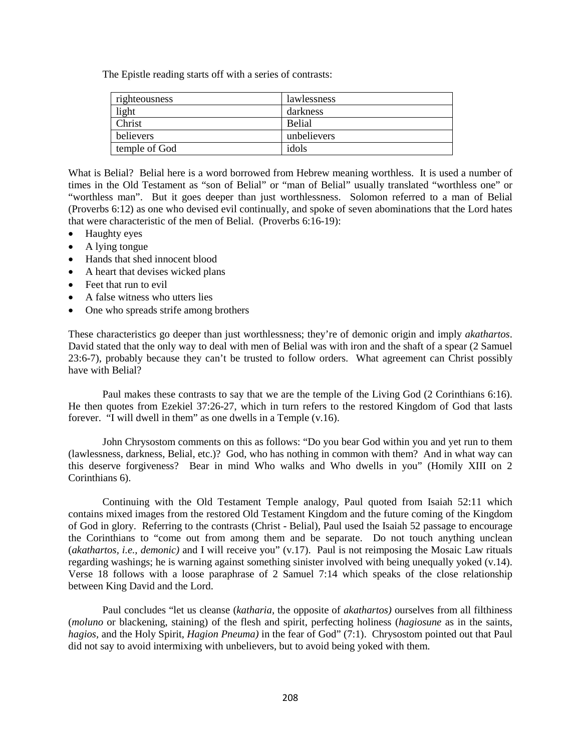The Epistle reading starts off with a series of contrasts:

| righteousness | lawlessness   |
|---------------|---------------|
| light         | darkness      |
| Christ        | <b>Belial</b> |
| believers     | unbelievers   |
| temple of God | idols         |

What is Belial? Belial here is a word borrowed from Hebrew meaning worthless. It is used a number of times in the Old Testament as "son of Belial" or "man of Belial" usually translated "worthless one" or "worthless man". But it goes deeper than just worthlessness. Solomon referred to a man of Belial (Proverbs 6:12) as one who devised evil continually, and spoke of seven abominations that the Lord hates that were characteristic of the men of Belial. (Proverbs 6:16-19):

- Haughty eyes
- A lying tongue
- Hands that shed innocent blood
- A heart that devises wicked plans
- Feet that run to evil
- A false witness who utters lies
- One who spreads strife among brothers

These characteristics go deeper than just worthlessness; they're of demonic origin and imply *akathartos*. David stated that the only way to deal with men of Belial was with iron and the shaft of a spear (2 Samuel 23:6-7), probably because they can't be trusted to follow orders. What agreement can Christ possibly have with Belial?

Paul makes these contrasts to say that we are the temple of the Living God (2 Corinthians 6:16). He then quotes from Ezekiel 37:26-27, which in turn refers to the restored Kingdom of God that lasts forever. "I will dwell in them" as one dwells in a Temple (v.16).

John Chrysostom comments on this as follows: "Do you bear God within you and yet run to them (lawlessness, darkness, Belial, etc.)? God, who has nothing in common with them? And in what way can this deserve forgiveness? Bear in mind Who walks and Who dwells in you" (Homily XIII on 2 Corinthians 6).

Continuing with the Old Testament Temple analogy, Paul quoted from Isaiah 52:11 which contains mixed images from the restored Old Testament Kingdom and the future coming of the Kingdom of God in glory. Referring to the contrasts (Christ - Belial), Paul used the Isaiah 52 passage to encourage the Corinthians to "come out from among them and be separate. Do not touch anything unclean (*akathartos, i.e., demonic)* and I will receive you" (v.17). Paul is not reimposing the Mosaic Law rituals regarding washings; he is warning against something sinister involved with being unequally yoked (v.14). Verse 18 follows with a loose paraphrase of 2 Samuel 7:14 which speaks of the close relationship between King David and the Lord.

Paul concludes "let us cleanse (*katharia,* the opposite of *akathartos)* ourselves from all filthiness (*moluno* or blackening, staining) of the flesh and spirit, perfecting holiness (*hagiosune* as in the saints, *hagios,* and the Holy Spirit, *Hagion Pneuma)* in the fear of God" (7:1). Chrysostom pointed out that Paul did not say to avoid intermixing with unbelievers, but to avoid being yoked with them.